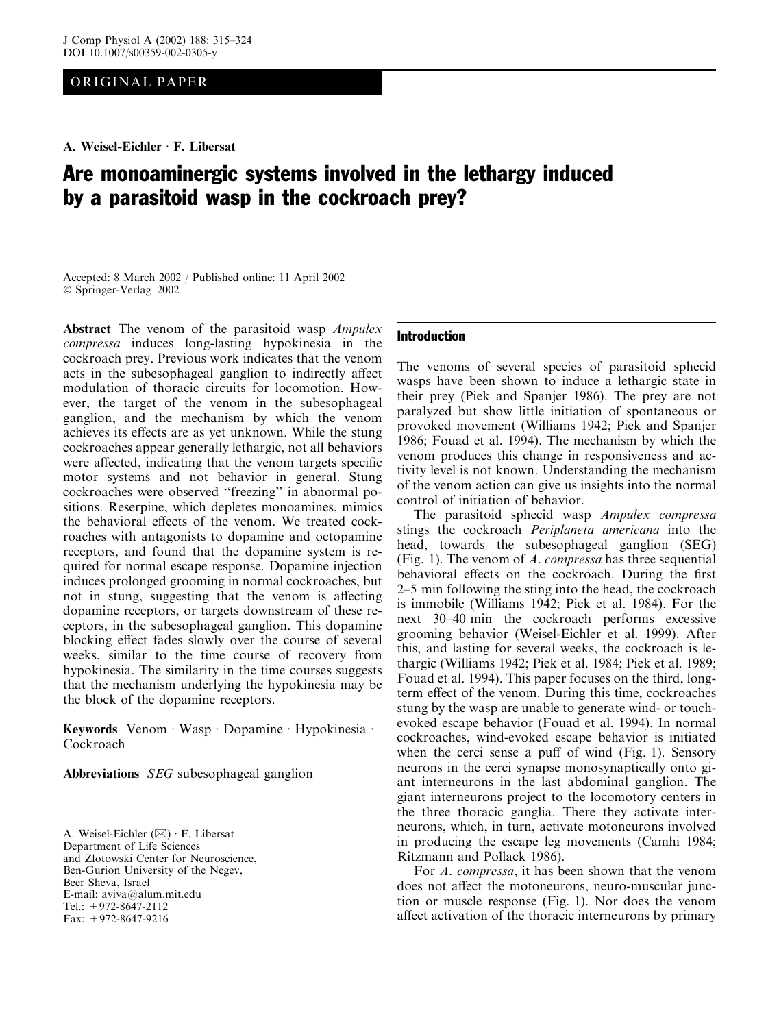ORIGINAL PAPER

# Are monoaminergic systems involved in the lethargy induced by a parasitoid wasp in the cockroach prey?

Accepted: 8 March 2002 / Published online: 11 April 2002 Springer-Verlag 2002

Abstract The venom of the parasitoid wasp *Ampulex* compressa induces long-lasting hypokinesia in the cockroach prey. Previous work indicates that the venom acts in the subesophageal ganglion to indirectly affect modulation of thoracic circuits for locomotion. However, the target of the venom in the subesophageal ganglion, and the mechanism by which the venom achieves its effects are as yet unknown. While the stung cockroaches appear generally lethargic, not all behaviors were affected, indicating that the venom targets specific motor systems and not behavior in general. Stung cockroaches were observed ''freezing'' in abnormal positions. Reserpine, which depletes monoamines, mimics the behavioral effects of the venom. We treated cockroaches with antagonists to dopamine and octopamine receptors, and found that the dopamine system is required for normal escape response. Dopamine injection induces prolonged grooming in normal cockroaches, but not in stung, suggesting that the venom is affecting dopamine receptors, or targets downstream of these receptors, in the subesophageal ganglion. This dopamine blocking effect fades slowly over the course of several weeks, similar to the time course of recovery from hypokinesia. The similarity in the time courses suggests that the mechanism underlying the hypokinesia may be the block of the dopamine receptors.

Keywords Venom · Wasp · Dopamine · Hypokinesia · Cockroach

Abbreviations SEG subesophageal ganglion

Department of Life Sciences

and Zlotowski Center for Neuroscience, Ben-Gurion University of the Negev,

Beer Sheva, Israel

E-mail: aviva@alum.mit.edu

Tel.: +972-8647-2112

Fax: +972-8647-9216

# Introduction

The venoms of several species of parasitoid sphecid wasps have been shown to induce a lethargic state in their prey (Piek and Spanjer 1986). The prey are not paralyzed but show little initiation of spontaneous or provoked movement (Williams 1942; Piek and Spanjer 1986; Fouad et al. 1994). The mechanism by which the venom produces this change in responsiveness and activity level is not known. Understanding the mechanism of the venom action can give us insights into the normal control of initiation of behavior.

The parasitoid sphecid wasp Ampulex compressa stings the cockroach Periplaneta americana into the head, towards the subesophageal ganglion (SEG) (Fig. 1). The venom of  $A$ . compressa has three sequential behavioral effects on the cockroach. During the first 2–5 min following the sting into the head, the cockroach is immobile (Williams 1942; Piek et al. 1984). For the next 30–40 min the cockroach performs excessive grooming behavior (Weisel-Eichler et al. 1999). After this, and lasting for several weeks, the cockroach is lethargic (Williams 1942; Piek et al. 1984; Piek et al. 1989; Fouad et al. 1994). This paper focuses on the third, longterm effect of the venom. During this time, cockroaches stung by the wasp are unable to generate wind- or touchevoked escape behavior (Fouad et al. 1994). In normal cockroaches, wind-evoked escape behavior is initiated when the cerci sense a puff of wind (Fig. 1). Sensory neurons in the cerci synapse monosynaptically onto giant interneurons in the last abdominal ganglion. The giant interneurons project to the locomotory centers in the three thoracic ganglia. There they activate interneurons, which, in turn, activate motoneurons involved in producing the escape leg movements (Camhi 1984; Ritzmann and Pollack 1986).

For A. compressa, it has been shown that the venom does not affect the motoneurons, neuro-muscular junction or muscle response (Fig. 1). Nor does the venom affect activation of the thoracic interneurons by primary

A. Weisel-Eichler  $(\boxtimes) \cdot$  F. Libersat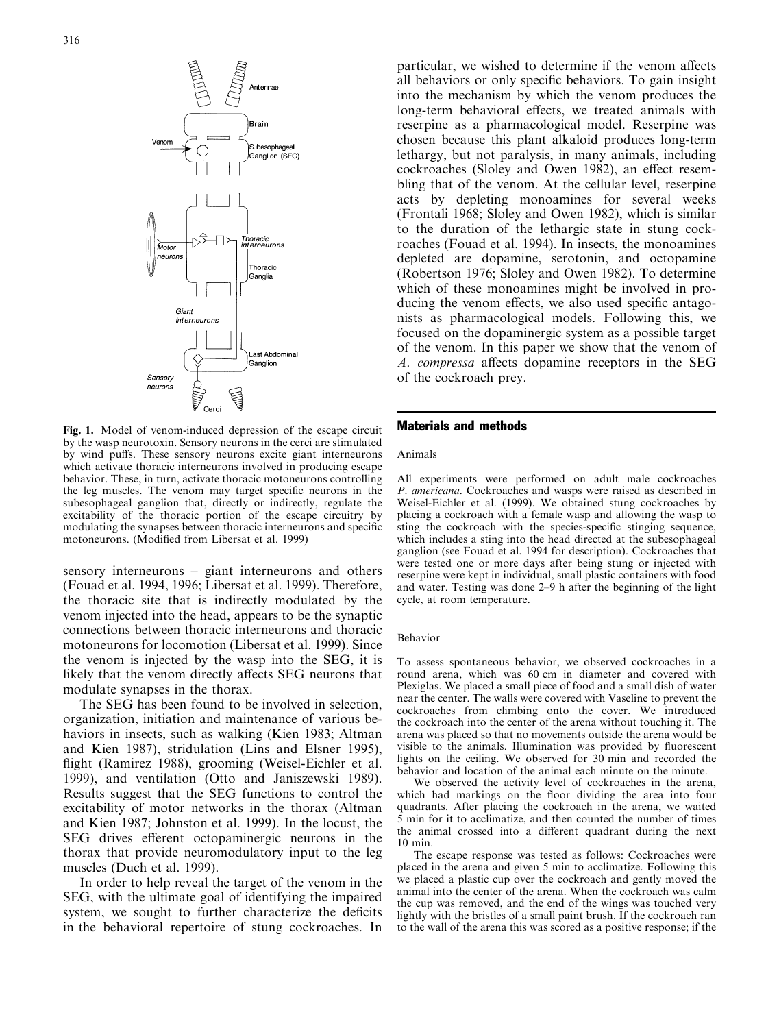

Fig. 1. Model of venom-induced depression of the escape circuit by the wasp neurotoxin. Sensory neurons in the cerci are stimulated by wind puffs. These sensory neurons excite giant interneurons which activate thoracic interneurons involved in producing escape behavior. These, in turn, activate thoracic motoneurons controlling the leg muscles. The venom may target specific neurons in the subesophageal ganglion that, directly or indirectly, regulate the excitability of the thoracic portion of the escape circuitry by modulating the synapses between thoracic interneurons and specific motoneurons. (Modified from Libersat et al. 1999)

sensory interneurons – giant interneurons and others (Fouad et al. 1994, 1996; Libersat et al. 1999). Therefore, the thoracic site that is indirectly modulated by the venom injected into the head, appears to be the synaptic connections between thoracic interneurons and thoracic motoneurons for locomotion (Libersat et al. 1999). Since the venom is injected by the wasp into the SEG, it is likely that the venom directly affects SEG neurons that modulate synapses in the thorax.

The SEG has been found to be involved in selection, organization, initiation and maintenance of various behaviors in insects, such as walking (Kien 1983; Altman and Kien 1987), stridulation (Lins and Elsner 1995), flight (Ramirez 1988), grooming (Weisel-Eichler et al. 1999), and ventilation (Otto and Janiszewski 1989). Results suggest that the SEG functions to control the excitability of motor networks in the thorax (Altman and Kien 1987; Johnston et al. 1999). In the locust, the SEG drives efferent octopaminergic neurons in the thorax that provide neuromodulatory input to the leg muscles (Duch et al. 1999).

In order to help reveal the target of the venom in the SEG, with the ultimate goal of identifying the impaired system, we sought to further characterize the deficits in the behavioral repertoire of stung cockroaches. In

particular, we wished to determine if the venom affects all behaviors or only specific behaviors. To gain insight into the mechanism by which the venom produces the long-term behavioral effects, we treated animals with reserpine as a pharmacological model. Reserpine was chosen because this plant alkaloid produces long-term lethargy, but not paralysis, in many animals, including cockroaches (Sloley and Owen 1982), an effect resembling that of the venom. At the cellular level, reserpine acts by depleting monoamines for several weeks (Frontali 1968; Sloley and Owen 1982), which is similar to the duration of the lethargic state in stung cockroaches (Fouad et al. 1994). In insects, the monoamines depleted are dopamine, serotonin, and octopamine (Robertson 1976; Sloley and Owen 1982). To determine which of these monoamines might be involved in producing the venom effects, we also used specific antagonists as pharmacological models. Following this, we focused on the dopaminergic system as a possible target of the venom. In this paper we show that the venom of A. compressa affects dopamine receptors in the SEG of the cockroach prey.

### Materials and methods

#### Animals

All experiments were performed on adult male cockroaches P. americana. Cockroaches and wasps were raised as described in Weisel-Eichler et al. (1999). We obtained stung cockroaches by placing a cockroach with a female wasp and allowing the wasp to sting the cockroach with the species-specific stinging sequence, which includes a sting into the head directed at the subesophageal ganglion (see Fouad et al. 1994 for description). Cockroaches that were tested one or more days after being stung or injected with reserpine were kept in individual, small plastic containers with food and water. Testing was done 2–9 h after the beginning of the light cycle, at room temperature.

#### Behavior

To assess spontaneous behavior, we observed cockroaches in a round arena, which was 60 cm in diameter and covered with Plexiglas. We placed a small piece of food and a small dish of water near the center. The walls were covered with Vaseline to prevent the cockroaches from climbing onto the cover. We introduced the cockroach into the center of the arena without touching it. The arena was placed so that no movements outside the arena would be visible to the animals. Illumination was provided by fluorescent lights on the ceiling. We observed for 30 min and recorded the behavior and location of the animal each minute on the minute.

We observed the activity level of cockroaches in the arena, which had markings on the floor dividing the area into four quadrants. After placing the cockroach in the arena, we waited 5 min for it to acclimatize, and then counted the number of times the animal crossed into a different quadrant during the next 10 min.

The escape response was tested as follows: Cockroaches were placed in the arena and given 5 min to acclimatize. Following this we placed a plastic cup over the cockroach and gently moved the animal into the center of the arena. When the cockroach was calm the cup was removed, and the end of the wings was touched very lightly with the bristles of a small paint brush. If the cockroach ran to the wall of the arena this was scored as a positive response; if the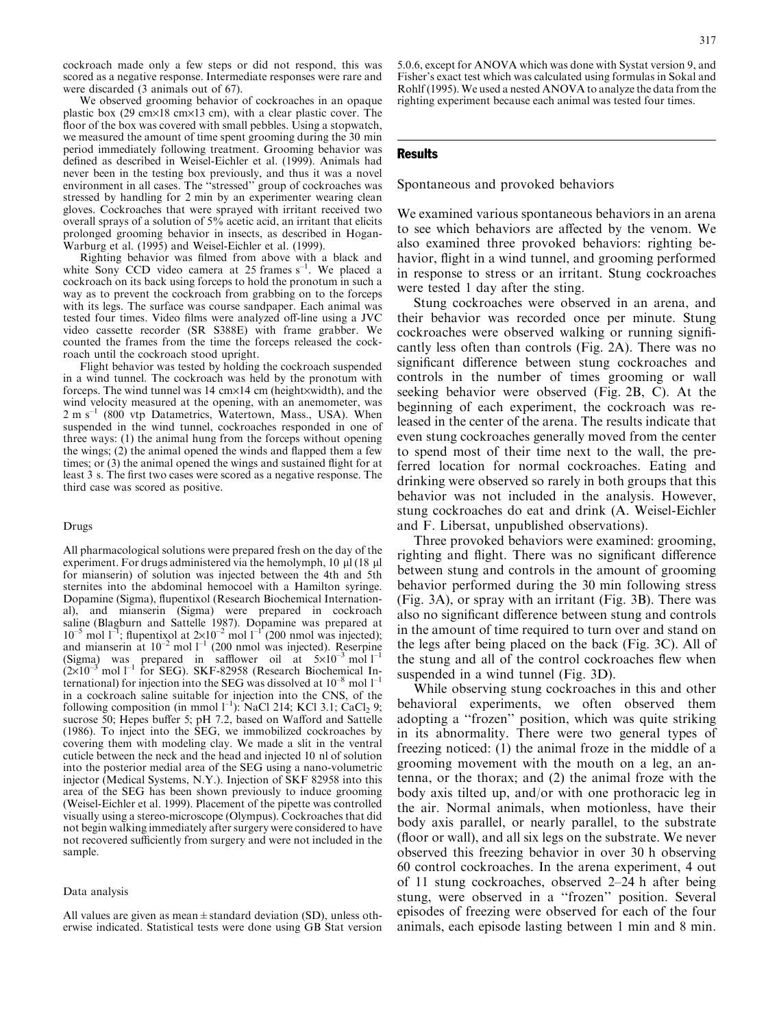cockroach made only a few steps or did not respond, this was scored as a negative response. Intermediate responses were rare and were discarded (3 animals out of 67).

We observed grooming behavior of cockroaches in an opaque plastic box (29 cm $\times$ 18 cm $\times$ 13 cm), with a clear plastic cover. The floor of the box was covered with small pebbles. Using a stopwatch, we measured the amount of time spent grooming during the 30 min period immediately following treatment. Grooming behavior was defined as described in Weisel-Eichler et al. (1999). Animals had never been in the testing box previously, and thus it was a novel environment in all cases. The ''stressed'' group of cockroaches was stressed by handling for 2 min by an experimenter wearing clean gloves. Cockroaches that were sprayed with irritant received two overall sprays of a solution of 5% acetic acid, an irritant that elicits prolonged grooming behavior in insects, as described in Hogan-Warburg et al. (1995) and Weisel-Eichler et al. (1999).

Righting behavior was filmed from above with a black and white Sony CCD video camera at 25 frames  $s^{-1}$ . We placed a cockroach on its back using forceps to hold the pronotum in such a way as to prevent the cockroach from grabbing on to the forceps with its legs. The surface was course sandpaper. Each animal was tested four times. Video films were analyzed off-line using a JVC video cassette recorder (SR S388E) with frame grabber. We counted the frames from the time the forceps released the cockroach until the cockroach stood upright.

Flight behavior was tested by holding the cockroach suspended in a wind tunnel. The cockroach was held by the pronotum with forceps. The wind tunnel was  $14 \text{ cm} \times 14 \text{ cm}$  (height $\times$ width), and the wind velocity measured at the opening, with an anemometer, was  $2 \text{ m s}^{-1}$  (800 vtp Datametrics, Watertown, Mass., USA). When suspended in the wind tunnel, cockroaches responded in one of three ways: (1) the animal hung from the forceps without opening the wings; (2) the animal opened the winds and flapped them a few times; or (3) the animal opened the wings and sustained flight for at least 3 s. The first two cases were scored as a negative response. The third case was scored as positive.

#### Drugs

All pharmacological solutions were prepared fresh on the day of the experiment. For drugs administered via the hemolymph,  $10 \mu$ l (18  $\mu$ l for mianserin) of solution was injected between the 4th and 5th sternites into the abdominal hemocoel with a Hamilton syringe. Dopamine (Sigma), flupentixol (Research Biochemical International), and mianserin (Sigma) were prepared in cockroach saline (Blagburn and Sattelle 1987). Dopamine was prepared at  $10^{-5}$  mol  $1^{-1}$ ; flupentixol at  $2\times10^{-2}$  mol  $1^{-1}$  (200 nmol was injected); and mianserin at  $10^{-2}$  mol  $1^{-1}$  (200 nmol was injected). Reserpine (Sigma) was prepared in safflower oil at  $5\times10^{-3}$  mol  $1^{-1}$  $(2\times10^{-3} \text{ mol } l^{-1}$  for SEG). SKF-82958 (Research Biochemical International) for injection into the SEG was dissolved at  $10^{-8}$  mol  $1^{-1}$ in a cockroach saline suitable for injection into the CNS, of the following composition (in mmol  $1^{-1}$ ): NaCl 214; KCl 3.1; CaCl<sub>2</sub> 9; sucrose 50; Hepes buffer 5; pH 7.2, based on Wafford and Sattelle (1986). To inject into the SEG, we immobilized cockroaches by covering them with modeling clay. We made a slit in the ventral cuticle between the neck and the head and injected 10 nl of solution into the posterior medial area of the SEG using a nano-volumetric injector (Medical Systems, N.Y.). Injection of SKF 82958 into this area of the SEG has been shown previously to induce grooming (Weisel-Eichler et al. 1999). Placement of the pipette was controlled visually using a stereo-microscope (Olympus). Cockroaches that did not begin walking immediately after surgery were considered to have not recovered sufficiently from surgery and were not included in the sample.

#### Data analysis

All values are given as mean  $\pm$  standard deviation (SD), unless otherwise indicated. Statistical tests were done using GB Stat version

## **Results**

Spontaneous and provoked behaviors

We examined various spontaneous behaviors in an arena to see which behaviors are affected by the venom. We also examined three provoked behaviors: righting behavior, flight in a wind tunnel, and grooming performed in response to stress or an irritant. Stung cockroaches were tested 1 day after the sting.

Stung cockroaches were observed in an arena, and their behavior was recorded once per minute. Stung cockroaches were observed walking or running significantly less often than controls (Fig. 2A). There was no significant difference between stung cockroaches and controls in the number of times grooming or wall seeking behavior were observed (Fig. 2B, C). At the beginning of each experiment, the cockroach was released in the center of the arena. The results indicate that even stung cockroaches generally moved from the center to spend most of their time next to the wall, the preferred location for normal cockroaches. Eating and drinking were observed so rarely in both groups that this behavior was not included in the analysis. However, stung cockroaches do eat and drink (A. Weisel-Eichler and F. Libersat, unpublished observations).

Three provoked behaviors were examined: grooming, righting and flight. There was no significant difference between stung and controls in the amount of grooming behavior performed during the 30 min following stress (Fig. 3A), or spray with an irritant (Fig. 3B). There was also no significant difference between stung and controls in the amount of time required to turn over and stand on the legs after being placed on the back (Fig. 3C). All of the stung and all of the control cockroaches flew when suspended in a wind tunnel (Fig. 3D).

While observing stung cockroaches in this and other behavioral experiments, we often observed them adopting a ''frozen'' position, which was quite striking in its abnormality. There were two general types of freezing noticed: (1) the animal froze in the middle of a grooming movement with the mouth on a leg, an antenna, or the thorax; and (2) the animal froze with the body axis tilted up, and/or with one prothoracic leg in the air. Normal animals, when motionless, have their body axis parallel, or nearly parallel, to the substrate (floor or wall), and all six legs on the substrate. We never observed this freezing behavior in over 30 h observing 60 control cockroaches. In the arena experiment, 4 out of 11 stung cockroaches, observed 2–24 h after being stung, were observed in a ''frozen'' position. Several episodes of freezing were observed for each of the four animals, each episode lasting between 1 min and 8 min.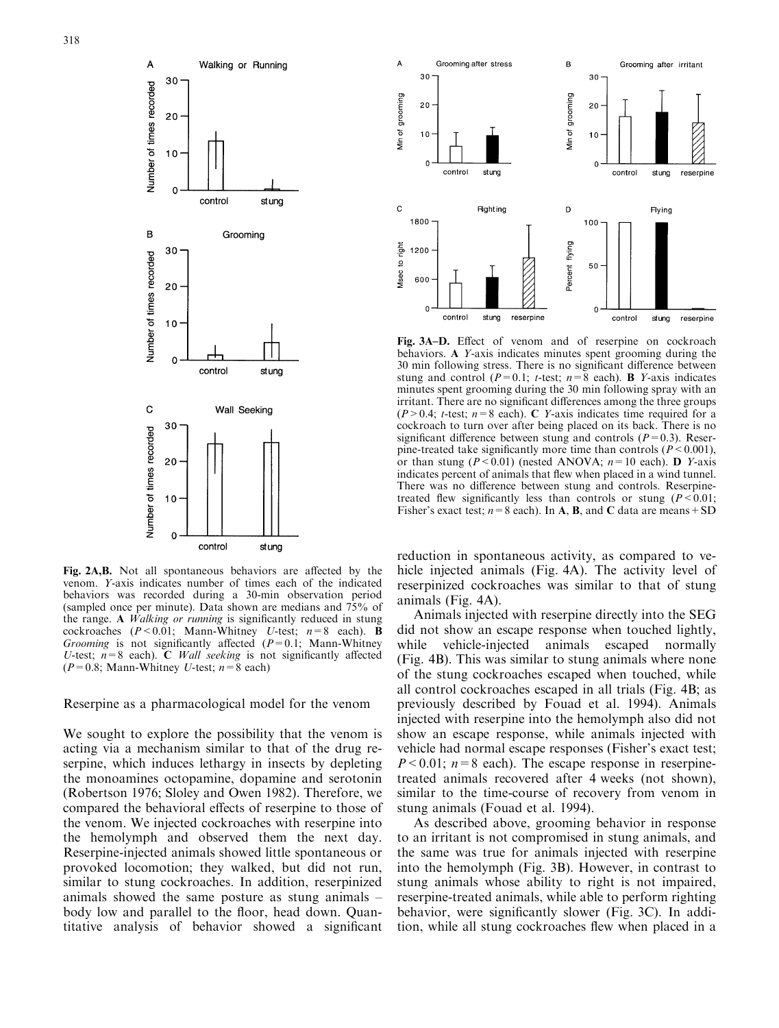

Fig. 2A,B. Not all spontaneous behaviors are affected by the venom. Y-axis indicates number of times each of the indicated behaviors was recorded during a 30-min observation period (sampled once per minute). Data shown are medians and 75% of the range. A Walking or running is significantly reduced in stung cockroaches ( $P < 0.01$ ; Mann-Whitney U-test;  $n=8$  each). **B** Grooming is not significantly affected  $(P=0.1;$  Mann-Whitney U-test;  $n=8$  each). C *Wall seeking* is not significantly affected  $(P=0.8;$  Mann-Whitney U-test;  $n=8$  each)

Reserpine as a pharmacological model for the venom

We sought to explore the possibility that the venom is acting via a mechanism similar to that of the drug reserpine, which induces lethargy in insects by depleting the monoamines octopamine, dopamine and serotonin (Robertson 1976; Sloley and Owen 1982). Therefore, we compared the behavioral effects of reserpine to those of the venom. We injected cockroaches with reserpine into the hemolymph and observed them the next day. Reserpine-injected animals showed little spontaneous or provoked locomotion; they walked, but did not run, similar to stung cockroaches. In addition, reserpinized animals showed the same posture as stung animals – body low and parallel to the floor, head down. Quantitative analysis of behavior showed a significant



Fig. 3A–D. Effect of venom and of reserpine on cockroach behaviors. A Y-axis indicates minutes spent grooming during the 30 min following stress. There is no significant difference between stung and control ( $P=0.1$ ; t-test;  $n=8$  each). **B** Y-axis indicates minutes spent grooming during the 30 min following spray with an irritant. There are no significant differences among the three groups  $(P>0.4; t-test; n=8$  each). C Y-axis indicates time required for a cockroach to turn over after being placed on its back. There is no significant difference between stung and controls  $(P=0.3)$ . Reserpine-treated take significantly more time than controls ( $P < 0.001$ ), or than stung  $(P < 0.01)$  (nested ANOVA;  $n = 10$  each). D Y-axis indicates percent of animals that flew when placed in a wind tunnel. There was no difference between stung and controls. Reserpinetreated flew significantly less than controls or stung ( $P < 0.01$ ; Fisher's exact test;  $n=8$  each). In **A**, **B**, and **C** data are means + SD

reduction in spontaneous activity, as compared to vehicle injected animals (Fig. 4A). The activity level of reserpinized cockroaches was similar to that of stung animals (Fig. 4A).

Animals injected with reserpine directly into the SEG did not show an escape response when touched lightly, while vehicle-injected animals escaped normally (Fig. 4B). This was similar to stung animals where none of the stung cockroaches escaped when touched, while all control cockroaches escaped in all trials (Fig. 4B; as previously described by Fouad et al. 1994). Animals injected with reserpine into the hemolymph also did not show an escape response, while animals injected with vehicle had normal escape responses (Fisher's exact test;  $P < 0.01$ ;  $n=8$  each). The escape response in reserpinetreated animals recovered after 4 weeks (not shown), similar to the time-course of recovery from venom in stung animals (Fouad et al. 1994).

As described above, grooming behavior in response to an irritant is not compromised in stung animals, and the same was true for animals injected with reserpine into the hemolymph (Fig. 3B). However, in contrast to stung animals whose ability to right is not impaired, reserpine-treated animals, while able to perform righting behavior, were significantly slower (Fig. 3C). In addition, while all stung cockroaches flew when placed in a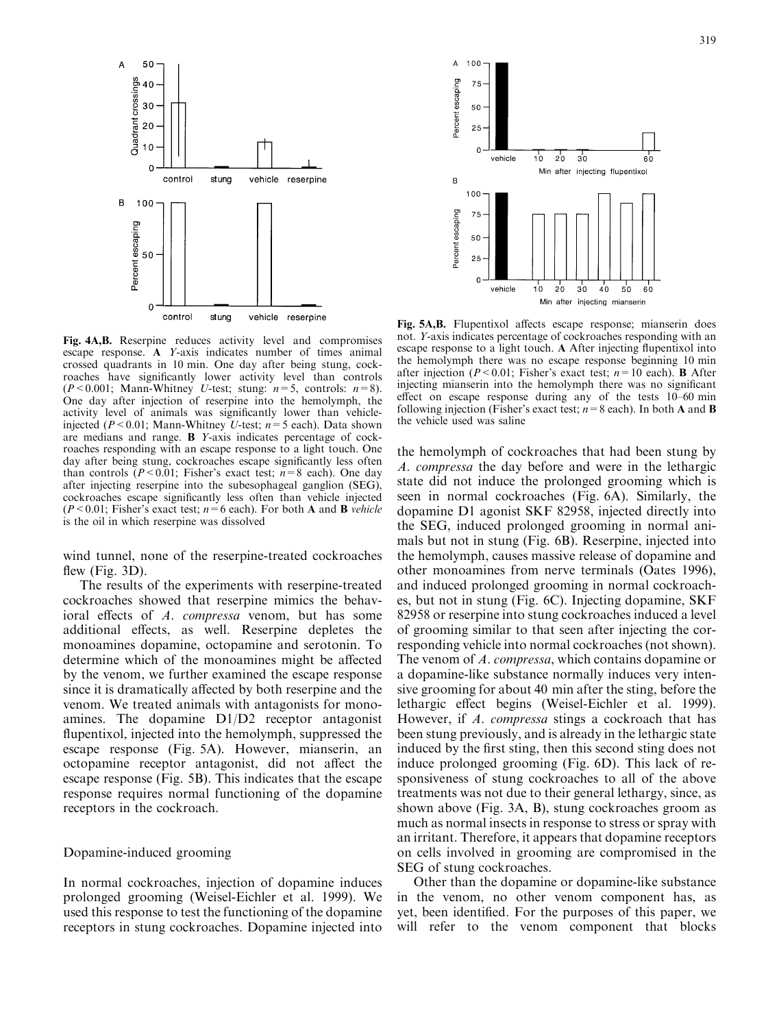

Fig. 4A,B. Reserpine reduces activity level and compromises escape response. A Y-axis indicates number of times animal crossed quadrants in 10 min. One day after being stung, cockroaches have significantly lower activity level than controls ( $P < 0.001$ ; Mann-Whitney U-test; stung:  $n = 5$ , controls:  $n = 8$ ). One day after injection of reserpine into the hemolymph, the activity level of animals was significantly lower than vehicleinjected ( $P < 0.01$ ; Mann-Whitney U-test;  $n = 5$  each). Data shown are medians and range. B Y-axis indicates percentage of cockroaches responding with an escape response to a light touch. One day after being stung, cockroaches escape significantly less often than controls ( $P < 0.01$ ; Fisher's exact test;  $n=8$  each). One day after injecting reserpine into the subesophageal ganglion (SEG), cockroaches escape significantly less often than vehicle injected ( $P < 0.01$ ; Fisher's exact test;  $n = 6$  each). For both **A** and **B** vehicle is the oil in which reserpine was dissolved

wind tunnel, none of the reserpine-treated cockroaches flew (Fig. 3D).

The results of the experiments with reserpine-treated cockroaches showed that reserpine mimics the behavioral effects of A. compressa venom, but has some additional effects, as well. Reserpine depletes the monoamines dopamine, octopamine and serotonin. To determine which of the monoamines might be affected by the venom, we further examined the escape response since it is dramatically affected by both reserpine and the venom. We treated animals with antagonists for monoamines. The dopamine D1/D2 receptor antagonist flupentixol, injected into the hemolymph, suppressed the escape response (Fig. 5A). However, mianserin, an octopamine receptor antagonist, did not affect the escape response (Fig. 5B). This indicates that the escape response requires normal functioning of the dopamine receptors in the cockroach.

# Dopamine-induced grooming

In normal cockroaches, injection of dopamine induces prolonged grooming (Weisel-Eichler et al. 1999). We used this response to test the functioning of the dopamine receptors in stung cockroaches. Dopamine injected into



Fig. 5A,B. Flupentixol affects escape response; mianserin does not. Y-axis indicates percentage of cockroaches responding with an escape response to a light touch. A After injecting flupentixol into the hemolymph there was no escape response beginning 10 min after injection ( $P < 0.01$ ; Fisher's exact test;  $n = 10$  each). **B** After injecting mianserin into the hemolymph there was no significant effect on escape response during any of the tests 10–60 min following injection (Fisher's exact test;  $n=8$  each). In both **A** and **B** the vehicle used was saline

the hemolymph of cockroaches that had been stung by A. compressa the day before and were in the lethargic state did not induce the prolonged grooming which is seen in normal cockroaches (Fig. 6A). Similarly, the dopamine D1 agonist SKF 82958, injected directly into the SEG, induced prolonged grooming in normal animals but not in stung (Fig. 6B). Reserpine, injected into the hemolymph, causes massive release of dopamine and other monoamines from nerve terminals (Oates 1996), and induced prolonged grooming in normal cockroaches, but not in stung (Fig. 6C). Injecting dopamine, SKF 82958 or reserpine into stung cockroaches induced a level of grooming similar to that seen after injecting the corresponding vehicle into normal cockroaches (not shown). The venom of A. compressa, which contains dopamine or a dopamine-like substance normally induces very intensive grooming for about 40 min after the sting, before the lethargic effect begins (Weisel-Eichler et al. 1999). However, if A. compressa stings a cockroach that has been stung previously, and is already in the lethargic state induced by the first sting, then this second sting does not induce prolonged grooming (Fig. 6D). This lack of responsiveness of stung cockroaches to all of the above treatments was not due to their general lethargy, since, as shown above (Fig. 3A, B), stung cockroaches groom as much as normal insects in response to stress or spray with an irritant. Therefore, it appears that dopamine receptors on cells involved in grooming are compromised in the SEG of stung cockroaches.

Other than the dopamine or dopamine-like substance in the venom, no other venom component has, as yet, been identified. For the purposes of this paper, we will refer to the venom component that blocks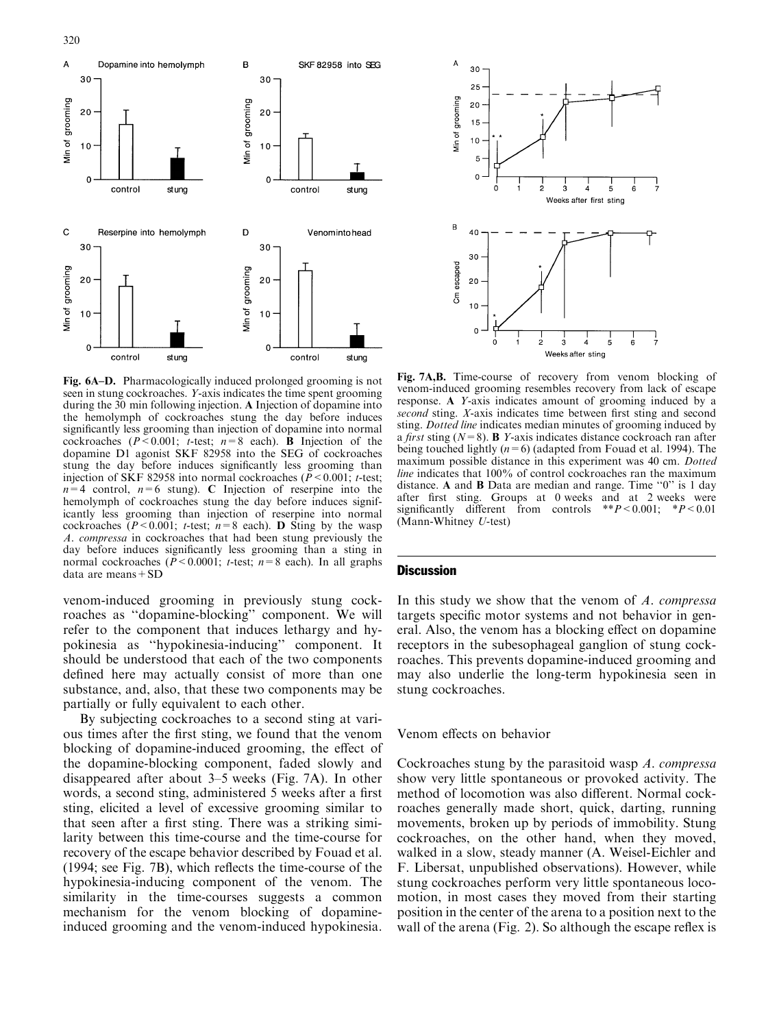

Fig. 6A–D. Pharmacologically induced prolonged grooming is not seen in stung cockroaches. Y-axis indicates the time spent grooming during the 30 min following injection. A Injection of dopamine into the hemolymph of cockroaches stung the day before induces significantly less grooming than injection of dopamine into normal cockroaches ( $P < 0.001$ ; t-test;  $n=8$  each). **B** Injection of the dopamine D1 agonist SKF 82958 into the SEG of cockroaches stung the day before induces significantly less grooming than injection of SKF 82958 into normal cockroaches ( $\overline{P}$  < 0.001; t-test;  $n=4$  control,  $n=6$  stung). C Injection of reserpine into the hemolymph of cockroaches stung the day before induces significantly less grooming than injection of reserpine into normal cockroaches  $(P < 0.001$ ; t-test;  $n=8$  each). **D** Sting by the wasp A. compressa in cockroaches that had been stung previously the day before induces significantly less grooming than a sting in normal cockroaches ( $\bar{P}$ <0.0001; t-test;  $n=8$  each). In all graphs data are means+SD

venom-induced grooming in previously stung cockroaches as ''dopamine-blocking'' component. We will refer to the component that induces lethargy and hypokinesia as ''hypokinesia-inducing'' component. It should be understood that each of the two components defined here may actually consist of more than one substance, and, also, that these two components may be partially or fully equivalent to each other.

By subjecting cockroaches to a second sting at various times after the first sting, we found that the venom blocking of dopamine-induced grooming, the effect of the dopamine-blocking component, faded slowly and disappeared after about 3–5 weeks (Fig. 7A). In other words, a second sting, administered 5 weeks after a first sting, elicited a level of excessive grooming similar to that seen after a first sting. There was a striking similarity between this time-course and the time-course for recovery of the escape behavior described by Fouad et al. (1994; see Fig. 7B), which reflects the time-course of the hypokinesia-inducing component of the venom. The similarity in the time-courses suggests a common mechanism for the venom blocking of dopamineinduced grooming and the venom-induced hypokinesia.



Fig. 7A,B. Time-course of recovery from venom blocking of venom-induced grooming resembles recovery from lack of escape response. A Y-axis indicates amount of grooming induced by a second sting. X-axis indicates time between first sting and second sting. Dotted line indicates median minutes of grooming induced by a first sting ( $N=8$ ). **B** Y-axis indicates distance cockroach ran after being touched lightly ( $n=6$ ) (adapted from Fouad et al. 1994). The maximum possible distance in this experiment was 40 cm. Dotted line indicates that 100% of control cockroaches ran the maximum distance. A and B Data are median and range. Time ''0'' is 1 day after first sting. Groups at 0 weeks and at 2 weeks were significantly different from controls  $*P < 0.001$ ;  $*P < 0.01$ (Mann-Whitney U-test)

## **Discussion**

In this study we show that the venom of A. compressa targets specific motor systems and not behavior in general. Also, the venom has a blocking effect on dopamine receptors in the subesophageal ganglion of stung cockroaches. This prevents dopamine-induced grooming and may also underlie the long-term hypokinesia seen in stung cockroaches.

# Venom effects on behavior

Cockroaches stung by the parasitoid wasp A. compressa show very little spontaneous or provoked activity. The method of locomotion was also different. Normal cockroaches generally made short, quick, darting, running movements, broken up by periods of immobility. Stung cockroaches, on the other hand, when they moved, walked in a slow, steady manner (A. Weisel-Eichler and F. Libersat, unpublished observations). However, while stung cockroaches perform very little spontaneous locomotion, in most cases they moved from their starting position in the center of the arena to a position next to the wall of the arena (Fig. 2). So although the escape reflex is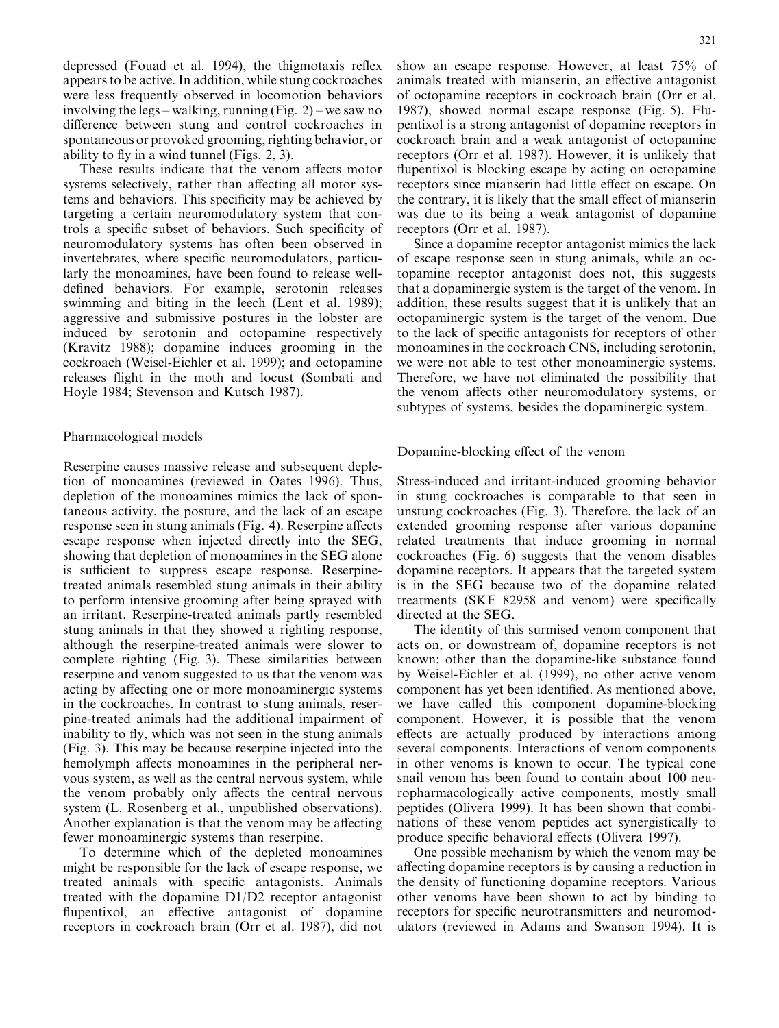depressed (Fouad et al. 1994), the thigmotaxis reflex appears to be active. In addition, while stung cockroaches were less frequently observed in locomotion behaviors involving the legs – walking, running (Fig. 2) – we saw no difference between stung and control cockroaches in spontaneous or provoked grooming, righting behavior, or ability to fly in a wind tunnel (Figs. 2, 3).

These results indicate that the venom affects motor systems selectively, rather than affecting all motor systems and behaviors. This specificity may be achieved by targeting a certain neuromodulatory system that controls a specific subset of behaviors. Such specificity of neuromodulatory systems has often been observed in invertebrates, where specific neuromodulators, particularly the monoamines, have been found to release welldefined behaviors. For example, serotonin releases swimming and biting in the leech (Lent et al. 1989); aggressive and submissive postures in the lobster are induced by serotonin and octopamine respectively (Kravitz 1988); dopamine induces grooming in the cockroach (Weisel-Eichler et al. 1999); and octopamine releases flight in the moth and locust (Sombati and Hoyle 1984; Stevenson and Kutsch 1987).

# Pharmacological models

Reserpine causes massive release and subsequent depletion of monoamines (reviewed in Oates 1996). Thus, depletion of the monoamines mimics the lack of spontaneous activity, the posture, and the lack of an escape response seen in stung animals (Fig. 4). Reserpine affects escape response when injected directly into the SEG, showing that depletion of monoamines in the SEG alone is sufficient to suppress escape response. Reserpinetreated animals resembled stung animals in their ability to perform intensive grooming after being sprayed with an irritant. Reserpine-treated animals partly resembled stung animals in that they showed a righting response, although the reserpine-treated animals were slower to complete righting (Fig. 3). These similarities between reserpine and venom suggested to us that the venom was acting by affecting one or more monoaminergic systems in the cockroaches. In contrast to stung animals, reserpine-treated animals had the additional impairment of inability to fly, which was not seen in the stung animals (Fig. 3). This may be because reserpine injected into the hemolymph affects monoamines in the peripheral nervous system, as well as the central nervous system, while the venom probably only affects the central nervous system (L. Rosenberg et al., unpublished observations). Another explanation is that the venom may be affecting fewer monoaminergic systems than reserpine.

To determine which of the depleted monoamines might be responsible for the lack of escape response, we treated animals with specific antagonists. Animals treated with the dopamine D1/D2 receptor antagonist flupentixol, an effective antagonist of dopamine receptors in cockroach brain (Orr et al. 1987), did not show an escape response. However, at least 75% of animals treated with mianserin, an effective antagonist of octopamine receptors in cockroach brain (Orr et al. 1987), showed normal escape response (Fig. 5). Flupentixol is a strong antagonist of dopamine receptors in cockroach brain and a weak antagonist of octopamine receptors (Orr et al. 1987). However, it is unlikely that flupentixol is blocking escape by acting on octopamine receptors since mianserin had little effect on escape. On the contrary, it is likely that the small effect of mianserin was due to its being a weak antagonist of dopamine receptors (Orr et al. 1987).

Since a dopamine receptor antagonist mimics the lack of escape response seen in stung animals, while an octopamine receptor antagonist does not, this suggests that a dopaminergic system is the target of the venom. In addition, these results suggest that it is unlikely that an octopaminergic system is the target of the venom. Due to the lack of specific antagonists for receptors of other monoamines in the cockroach CNS, including serotonin, we were not able to test other monoaminergic systems. Therefore, we have not eliminated the possibility that the venom affects other neuromodulatory systems, or subtypes of systems, besides the dopaminergic system.

Dopamine-blocking effect of the venom

Stress-induced and irritant-induced grooming behavior in stung cockroaches is comparable to that seen in unstung cockroaches (Fig. 3). Therefore, the lack of an extended grooming response after various dopamine related treatments that induce grooming in normal cockroaches (Fig. 6) suggests that the venom disables dopamine receptors. It appears that the targeted system is in the SEG because two of the dopamine related treatments (SKF 82958 and venom) were specifically directed at the SEG.

The identity of this surmised venom component that acts on, or downstream of, dopamine receptors is not known; other than the dopamine-like substance found by Weisel-Eichler et al. (1999), no other active venom component has yet been identified. As mentioned above, we have called this component dopamine-blocking component. However, it is possible that the venom effects are actually produced by interactions among several components. Interactions of venom components in other venoms is known to occur. The typical cone snail venom has been found to contain about 100 neuropharmacologically active components, mostly small peptides (Olivera 1999). It has been shown that combinations of these venom peptides act synergistically to produce specific behavioral effects (Olivera 1997).

One possible mechanism by which the venom may be affecting dopamine receptors is by causing a reduction in the density of functioning dopamine receptors. Various other venoms have been shown to act by binding to receptors for specific neurotransmitters and neuromodulators (reviewed in Adams and Swanson 1994). It is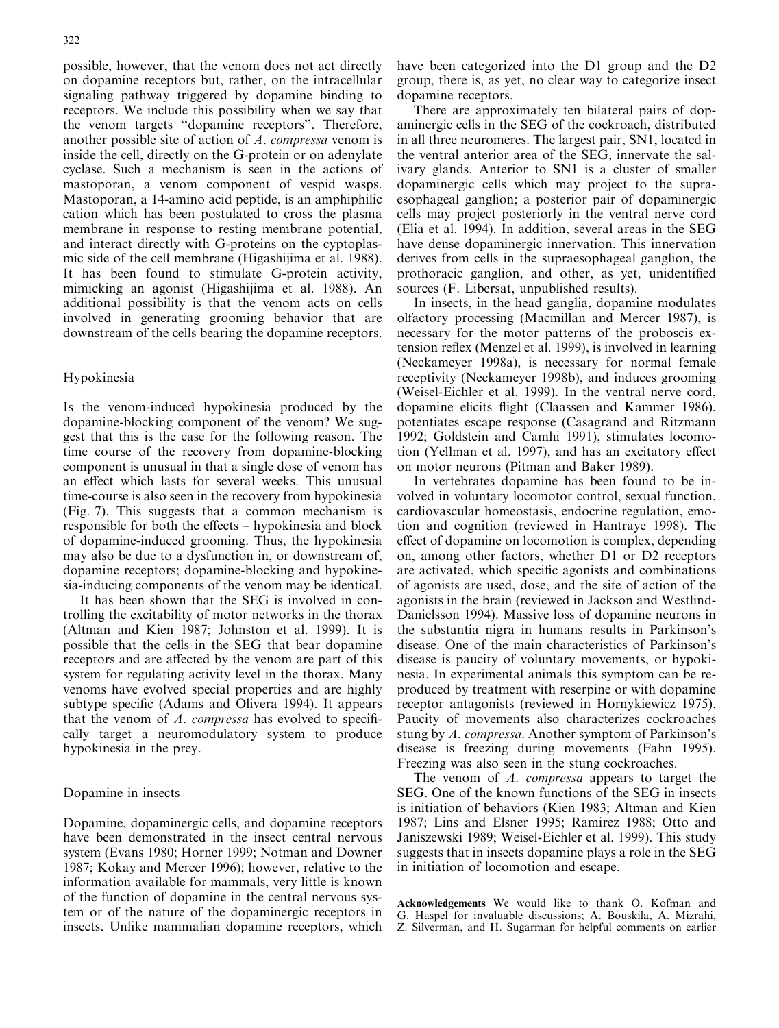possible, however, that the venom does not act directly on dopamine receptors but, rather, on the intracellular signaling pathway triggered by dopamine binding to receptors. We include this possibility when we say that the venom targets ''dopamine receptors''. Therefore, another possible site of action of A. compressa venom is inside the cell, directly on the G-protein or on adenylate cyclase. Such a mechanism is seen in the actions of mastoporan, a venom component of vespid wasps. Mastoporan, a 14-amino acid peptide, is an amphiphilic cation which has been postulated to cross the plasma membrane in response to resting membrane potential, and interact directly with G-proteins on the cyptoplasmic side of the cell membrane (Higashijima et al. 1988). It has been found to stimulate G-protein activity, mimicking an agonist (Higashijima et al. 1988). An additional possibility is that the venom acts on cells involved in generating grooming behavior that are downstream of the cells bearing the dopamine receptors.

# Hypokinesia

Is the venom-induced hypokinesia produced by the dopamine-blocking component of the venom? We suggest that this is the case for the following reason. The time course of the recovery from dopamine-blocking component is unusual in that a single dose of venom has an effect which lasts for several weeks. This unusual time-course is also seen in the recovery from hypokinesia (Fig. 7). This suggests that a common mechanism is responsible for both the effects – hypokinesia and block of dopamine-induced grooming. Thus, the hypokinesia may also be due to a dysfunction in, or downstream of, dopamine receptors; dopamine-blocking and hypokinesia-inducing components of the venom may be identical.

It has been shown that the SEG is involved in controlling the excitability of motor networks in the thorax (Altman and Kien 1987; Johnston et al. 1999). It is possible that the cells in the SEG that bear dopamine receptors and are affected by the venom are part of this system for regulating activity level in the thorax. Many venoms have evolved special properties and are highly subtype specific (Adams and Olivera 1994). It appears that the venom of A. compressa has evolved to specifically target a neuromodulatory system to produce hypokinesia in the prey.

# Dopamine in insects

Dopamine, dopaminergic cells, and dopamine receptors have been demonstrated in the insect central nervous system (Evans 1980; Horner 1999; Notman and Downer 1987; Kokay and Mercer 1996); however, relative to the information available for mammals, very little is known of the function of dopamine in the central nervous system or of the nature of the dopaminergic receptors in insects. Unlike mammalian dopamine receptors, which have been categorized into the D1 group and the D2 group, there is, as yet, no clear way to categorize insect dopamine receptors.

There are approximately ten bilateral pairs of dopaminergic cells in the SEG of the cockroach, distributed in all three neuromeres. The largest pair, SN1, located in the ventral anterior area of the SEG, innervate the salivary glands. Anterior to SN1 is a cluster of smaller dopaminergic cells which may project to the supraesophageal ganglion; a posterior pair of dopaminergic cells may project posteriorly in the ventral nerve cord (Elia et al. 1994). In addition, several areas in the SEG have dense dopaminergic innervation. This innervation derives from cells in the supraesophageal ganglion, the prothoracic ganglion, and other, as yet, unidentified sources (F. Libersat, unpublished results).

In insects, in the head ganglia, dopamine modulates olfactory processing (Macmillan and Mercer 1987), is necessary for the motor patterns of the proboscis extension reflex (Menzel et al. 1999), is involved in learning (Neckameyer 1998a), is necessary for normal female receptivity (Neckameyer 1998b), and induces grooming (Weisel-Eichler et al. 1999). In the ventral nerve cord, dopamine elicits flight (Claassen and Kammer 1986), potentiates escape response (Casagrand and Ritzmann 1992; Goldstein and Camhi 1991), stimulates locomotion (Yellman et al. 1997), and has an excitatory effect on motor neurons (Pitman and Baker 1989).

In vertebrates dopamine has been found to be involved in voluntary locomotor control, sexual function, cardiovascular homeostasis, endocrine regulation, emotion and cognition (reviewed in Hantraye 1998). The effect of dopamine on locomotion is complex, depending on, among other factors, whether D1 or D2 receptors are activated, which specific agonists and combinations of agonists are used, dose, and the site of action of the agonists in the brain (reviewed in Jackson and Westlind-Danielsson 1994). Massive loss of dopamine neurons in the substantia nigra in humans results in Parkinson's disease. One of the main characteristics of Parkinson's disease is paucity of voluntary movements, or hypokinesia. In experimental animals this symptom can be reproduced by treatment with reserpine or with dopamine receptor antagonists (reviewed in Hornykiewicz 1975). Paucity of movements also characterizes cockroaches stung by A. compressa. Another symptom of Parkinson's disease is freezing during movements (Fahn 1995). Freezing was also seen in the stung cockroaches.

The venom of A. *compressa* appears to target the SEG. One of the known functions of the SEG in insects is initiation of behaviors (Kien 1983; Altman and Kien 1987; Lins and Elsner 1995; Ramirez 1988; Otto and Janiszewski 1989; Weisel-Eichler et al. 1999). This study suggests that in insects dopamine plays a role in the SEG in initiation of locomotion and escape.

Acknowledgements We would like to thank O. Kofman and G. Haspel for invaluable discussions; A. Bouskila, A. Mizrahi, Z. Silverman, and H. Sugarman for helpful comments on earlier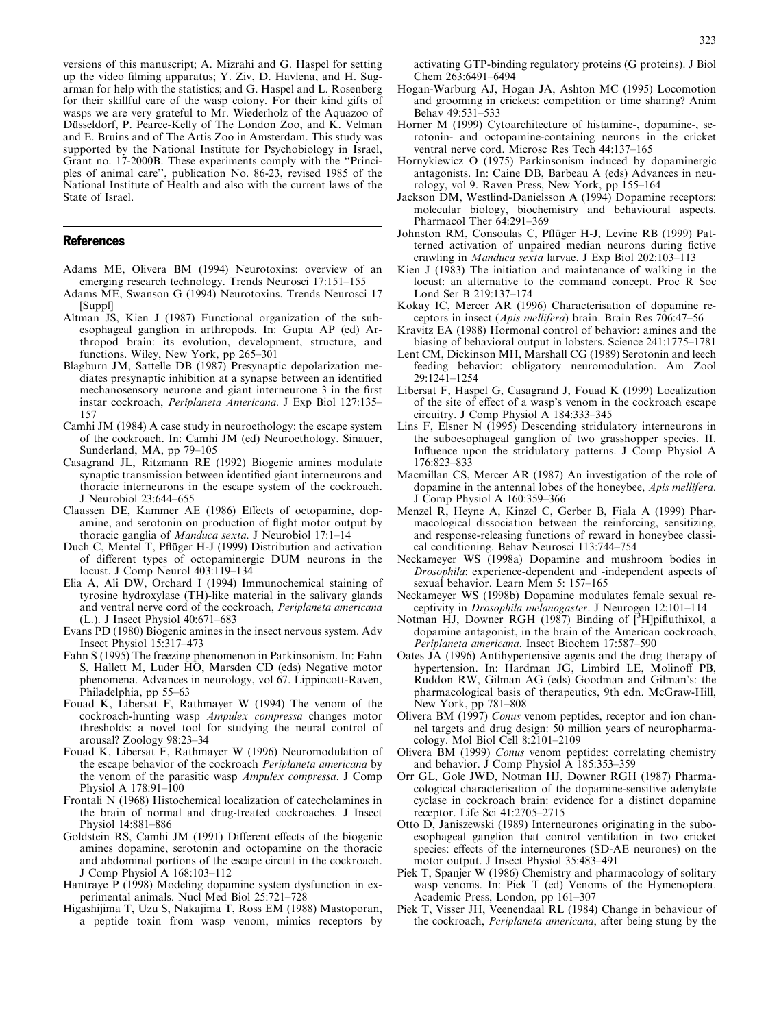versions of this manuscript; A. Mizrahi and G. Haspel for setting up the video filming apparatus; Y. Ziv, D. Havlena, and H. Sugarman for help with the statistics; and G. Haspel and L. Rosenberg for their skillful care of the wasp colony. For their kind gifts of wasps we are very grateful to Mr. Wiederholz of the Aquazoo of Düsseldorf, P. Pearce-Kelly of The London Zoo, and K. Velman and E. Bruins and of The Artis Zoo in Amsterdam. This study was supported by the National Institute for Psychobiology in Israel, Grant no. 17-2000B. These experiments comply with the ''Principles of animal care'', publication No. 86-23, revised 1985 of the National Institute of Health and also with the current laws of the State of Israel.

## References

- Adams ME, Olivera BM (1994) Neurotoxins: overview of an emerging research technology. Trends Neurosci 17:151–155
- Adams ME, Swanson G (1994) Neurotoxins. Trends Neurosci 17 [Suppl]
- Altman JS, Kien J (1987) Functional organization of the subesophageal ganglion in arthropods. In: Gupta AP (ed) Arthropod brain: its evolution, development, structure, and functions. Wiley, New York, pp 265–301
- Blagburn JM, Sattelle DB (1987) Presynaptic depolarization mediates presynaptic inhibition at a synapse between an identified mechanosensory neurone and giant interneurone 3 in the first instar cockroach, Periplaneta Americana. J Exp Biol 127:135– 157
- Camhi JM (1984) A case study in neuroethology: the escape system of the cockroach. In: Camhi JM (ed) Neuroethology. Sinauer, Sunderland, MA, pp 79–105
- Casagrand JL, Ritzmann RE (1992) Biogenic amines modulate synaptic transmission between identified giant interneurons and thoracic interneurons in the escape system of the cockroach. J Neurobiol 23:644–655
- Claassen DE, Kammer AE (1986) Effects of octopamine, dopamine, and serotonin on production of flight motor output by thoracic ganglia of Manduca sexta. J Neurobiol 17:1–14
- Duch C, Mentel T, Pflüger H-J (1999) Distribution and activation of different types of octopaminergic DUM neurons in the locust. J Comp Neurol 403:119–134
- Elia A, Ali DW, Orchard I (1994) Immunochemical staining of tyrosine hydroxylase (TH)-like material in the salivary glands and ventral nerve cord of the cockroach, Periplaneta americana (L.). J Insect Physiol 40:671–683
- Evans PD (1980) Biogenic amines in the insect nervous system. Adv Insect Physiol 15:317–473
- Fahn S(1995) The freezing phenomenon in Parkinsonism. In: Fahn S, Hallett M, Luder HO, Marsden CD (eds) Negative motor phenomena. Advances in neurology, vol 67. Lippincott-Raven, Philadelphia, pp 55–63
- Fouad K, Libersat F, Rathmayer W (1994) The venom of the cockroach-hunting wasp Ampulex compressa changes motor thresholds: a novel tool for studying the neural control of arousal? Zoology 98:23–34
- Fouad K, Libersat F, Rathmayer W (1996) Neuromodulation of the escape behavior of the cockroach Periplaneta americana by the venom of the parasitic wasp Ampulex compressa. J Comp Physiol A 178:91–100
- Frontali N (1968) Histochemical localization of catecholamines in the brain of normal and drug-treated cockroaches. J Insect Physiol 14:881–886
- Goldstein RS, Camhi JM (1991) Different effects of the biogenic amines dopamine, serotonin and octopamine on the thoracic and abdominal portions of the escape circuit in the cockroach. J Comp Physiol A 168:103–112
- Hantraye P (1998) Modeling dopamine system dysfunction in experimental animals. Nucl Med Biol 25:721–728
- Higashijima T, Uzu S, Nakajima T, Ross EM (1988) Mastoporan, a peptide toxin from wasp venom, mimics receptors by

activating GTP-binding regulatory proteins (G proteins). J Biol Chem 263:6491–6494

- Hogan-Warburg AJ, Hogan JA, Ashton MC (1995) Locomotion and grooming in crickets: competition or time sharing? Anim Behav 49:531–533
- Horner M (1999) Cytoarchitecture of histamine-, dopamine-, serotonin- and octopamine-containing neurons in the cricket ventral nerve cord. Microsc Res Tech 44:137–165
- Hornykiewicz O (1975) Parkinsonism induced by dopaminergic antagonists. In: Caine DB, Barbeau A (eds) Advances in neurology, vol 9. Raven Press, New York, pp 155–164
- Jackson DM, Westlind-Danielsson A (1994) Dopamine receptors: molecular biology, biochemistry and behavioural aspects. Pharmacol Ther 64:291–369
- Johnston RM, Consoulas C, Pflüger H-J, Levine RB (1999) Patterned activation of unpaired median neurons during fictive crawling in Manduca sexta larvae. J Exp Biol 202:103–113
- Kien J (1983) The initiation and maintenance of walking in the locust: an alternative to the command concept. Proc R Soc Lond Ser B 219:137–174
- Kokay IC, Mercer AR (1996) Characterisation of dopamine receptors in insect (Apis mellifera) brain. Brain Res 706:47–56
- Kravitz EA (1988) Hormonal control of behavior: amines and the biasing of behavioral output in lobsters. Science 241:1775–1781
- Lent CM, Dickinson MH, Marshall CG (1989) Serotonin and leech feeding behavior: obligatory neuromodulation. Am Zool 29:1241–1254
- Libersat F, Haspel G, Casagrand J, Fouad K (1999) Localization of the site of effect of a wasp's venom in the cockroach escape circuitry. J Comp Physiol A 184:333–345
- Lins F, Elsner N (1995) Descending stridulatory interneurons in the suboesophageal ganglion of two grasshopper species. II. Influence upon the stridulatory patterns. J Comp Physiol A 176:823–833
- Macmillan CS, Mercer AR (1987) An investigation of the role of dopamine in the antennal lobes of the honeybee, Apis mellifera. J Comp Physiol A 160:359–366
- Menzel R, Heyne A, Kinzel C, Gerber B, Fiala A (1999) Pharmacological dissociation between the reinforcing, sensitizing, and response-releasing functions of reward in honeybee classical conditioning. Behav Neurosci 113:744–754
- Neckameyer WS(1998a) Dopamine and mushroom bodies in Drosophila: experience-dependent and -independent aspects of sexual behavior. Learn Mem 5: 157–165
- Neckameyer WS(1998b) Dopamine modulates female sexual receptivity in Drosophila melanogaster. J Neurogen 12:101–114
- Notman HJ, Downer RGH (1987) Binding of [<sup>3</sup>H]pifluthixol, a dopamine antagonist, in the brain of the American cockroach, Periplaneta americana. Insect Biochem 17:587–590
- Oates JA (1996) Antihypertensive agents and the drug therapy of hypertension. In: Hardman JG, Limbird LE, Molinoff PB, Ruddon RW, Gilman AG (eds) Goodman and Gilman's: the pharmacological basis of therapeutics, 9th edn. McGraw-Hill, New York, pp 781–808
- Olivera BM (1997) Conus venom peptides, receptor and ion channel targets and drug design: 50 million years of neuropharmacology. Mol Biol Cell 8:2101–2109
- Olivera BM (1999) Conus venom peptides: correlating chemistry and behavior. J Comp Physiol A 185:353–359
- Orr GL, Gole JWD, Notman HJ, Downer RGH (1987) Pharmacological characterisation of the dopamine-sensitive adenylate cyclase in cockroach brain: evidence for a distinct dopamine receptor. Life Sci 41:2705–2715
- Otto D, Janiszewski (1989) Interneurones originating in the suboesophageal ganglion that control ventilation in two cricket species: effects of the interneurones (SD-AE neurones) on the motor output. J Insect Physiol 35:483–491
- Piek T, Spanjer W (1986) Chemistry and pharmacology of solitary wasp venoms. In: Piek T (ed) Venoms of the Hymenoptera. Academic Press, London, pp 161–307
- Piek T, Visser JH, Veenendaal RL (1984) Change in behaviour of the cockroach, Periplaneta americana, after being stung by the